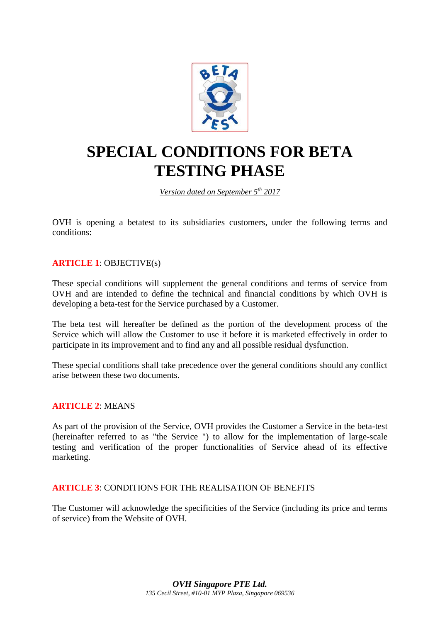

# **SPECIAL CONDITIONS FOR BETA TESTING PHASE**

## *Version dated on September 5th 2017*

OVH is opening a betatest to its subsidiaries customers, under the following terms and conditions:

## **ARTICLE 1**: OBJECTIVE(s)

These special conditions will supplement the general conditions and terms of service from OVH and are intended to define the technical and financial conditions by which OVH is developing a beta-test for the Service purchased by a Customer.

The beta test will hereafter be defined as the portion of the development process of the Service which will allow the Customer to use it before it is marketed effectively in order to participate in its improvement and to find any and all possible residual dysfunction.

These special conditions shall take precedence over the general conditions should any conflict arise between these two documents.

#### **ARTICLE 2**: MEANS

As part of the provision of the Service, OVH provides the Customer a Service in the beta-test (hereinafter referred to as "the Service ") to allow for the implementation of large-scale testing and verification of the proper functionalities of Service ahead of its effective marketing.

#### **ARTICLE 3**: CONDITIONS FOR THE REALISATION OF BENEFITS

The Customer will acknowledge the specificities of the Service (including its price and terms of service) from the Website of OVH.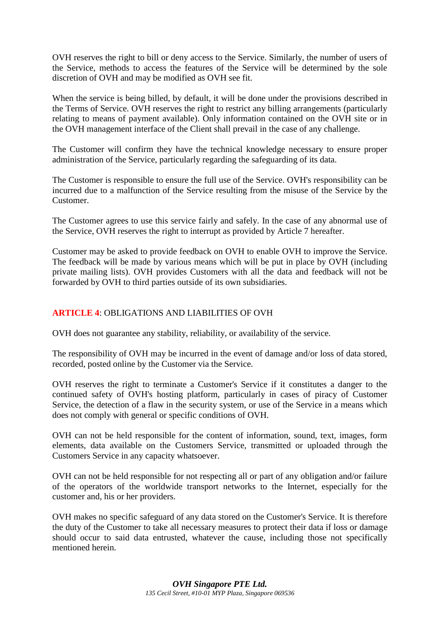OVH reserves the right to bill or deny access to the Service. Similarly, the number of users of the Service, methods to access the features of the Service will be determined by the sole discretion of OVH and may be modified as OVH see fit.

When the service is being billed, by default, it will be done under the provisions described in the Terms of Service. OVH reserves the right to restrict any billing arrangements (particularly relating to means of payment available). Only information contained on the OVH site or in the OVH management interface of the Client shall prevail in the case of any challenge.

The Customer will confirm they have the technical knowledge necessary to ensure proper administration of the Service, particularly regarding the safeguarding of its data.

The Customer is responsible to ensure the full use of the Service. OVH's responsibility can be incurred due to a malfunction of the Service resulting from the misuse of the Service by the Customer.

The Customer agrees to use this service fairly and safely. In the case of any abnormal use of the Service, OVH reserves the right to interrupt as provided by Article 7 hereafter.

Customer may be asked to provide feedback on OVH to enable OVH to improve the Service. The feedback will be made by various means which will be put in place by OVH (including private mailing lists). OVH provides Customers with all the data and feedback will not be forwarded by OVH to third parties outside of its own subsidiaries.

### **ARTICLE 4**: OBLIGATIONS AND LIABILITIES OF OVH

OVH does not guarantee any stability, reliability, or availability of the service.

The responsibility of OVH may be incurred in the event of damage and/or loss of data stored, recorded, posted online by the Customer via the Service.

OVH reserves the right to terminate a Customer's Service if it constitutes a danger to the continued safety of OVH's hosting platform, particularly in cases of piracy of Customer Service, the detection of a flaw in the security system, or use of the Service in a means which does not comply with general or specific conditions of OVH.

OVH can not be held responsible for the content of information, sound, text, images, form elements, data available on the Customers Service, transmitted or uploaded through the Customers Service in any capacity whatsoever.

OVH can not be held responsible for not respecting all or part of any obligation and/or failure of the operators of the worldwide transport networks to the Internet, especially for the customer and, his or her providers.

OVH makes no specific safeguard of any data stored on the Customer's Service. It is therefore the duty of the Customer to take all necessary measures to protect their data if loss or damage should occur to said data entrusted, whatever the cause, including those not specifically mentioned herein.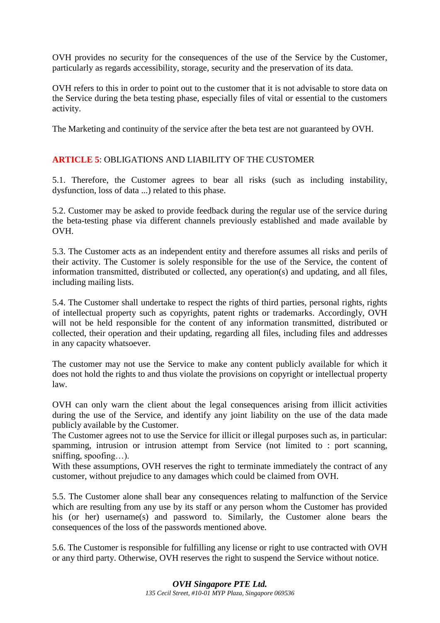OVH provides no security for the consequences of the use of the Service by the Customer, particularly as regards accessibility, storage, security and the preservation of its data.

OVH refers to this in order to point out to the customer that it is not advisable to store data on the Service during the beta testing phase, especially files of vital or essential to the customers activity.

The Marketing and continuity of the service after the beta test are not guaranteed by OVH.

#### **ARTICLE 5**: OBLIGATIONS AND LIABILITY OF THE CUSTOMER

5.1. Therefore, the Customer agrees to bear all risks (such as including instability, dysfunction, loss of data ...) related to this phase.

5.2. Customer may be asked to provide feedback during the regular use of the service during the beta-testing phase via different channels previously established and made available by OVH.

5.3. The Customer acts as an independent entity and therefore assumes all risks and perils of their activity. The Customer is solely responsible for the use of the Service, the content of information transmitted, distributed or collected, any operation(s) and updating, and all files, including mailing lists.

5.4. The Customer shall undertake to respect the rights of third parties, personal rights, rights of intellectual property such as copyrights, patent rights or trademarks. Accordingly, OVH will not be held responsible for the content of any information transmitted, distributed or collected, their operation and their updating, regarding all files, including files and addresses in any capacity whatsoever.

The customer may not use the Service to make any content publicly available for which it does not hold the rights to and thus violate the provisions on copyright or intellectual property law.

OVH can only warn the client about the legal consequences arising from illicit activities during the use of the Service, and identify any joint liability on the use of the data made publicly available by the Customer.

The Customer agrees not to use the Service for illicit or illegal purposes such as, in particular: spamming, intrusion or intrusion attempt from Service (not limited to : port scanning, sniffing, spoofing…).

With these assumptions, OVH reserves the right to terminate immediately the contract of any customer, without prejudice to any damages which could be claimed from OVH.

5.5. The Customer alone shall bear any consequences relating to malfunction of the Service which are resulting from any use by its staff or any person whom the Customer has provided his (or her) username(s) and password to. Similarly, the Customer alone bears the consequences of the loss of the passwords mentioned above.

5.6. The Customer is responsible for fulfilling any license or right to use contracted with OVH or any third party. Otherwise, OVH reserves the right to suspend the Service without notice.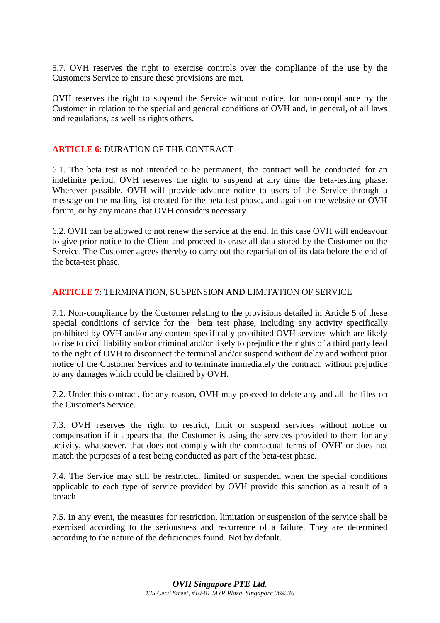5.7. OVH reserves the right to exercise controls over the compliance of the use by the Customers Service to ensure these provisions are met.

OVH reserves the right to suspend the Service without notice, for non-compliance by the Customer in relation to the special and general conditions of OVH and, in general, of all laws and regulations, as well as rights others.

#### **ARTICLE 6**: DURATION OF THE CONTRACT

6.1. The beta test is not intended to be permanent, the contract will be conducted for an indefinite period. OVH reserves the right to suspend at any time the beta-testing phase. Wherever possible, OVH will provide advance notice to users of the Service through a message on the mailing list created for the beta test phase, and again on the website or OVH forum, or by any means that OVH considers necessary.

6.2. OVH can be allowed to not renew the service at the end. In this case OVH will endeavour to give prior notice to the Client and proceed to erase all data stored by the Customer on the Service. The Customer agrees thereby to carry out the repatriation of its data before the end of the beta-test phase.

#### **ARTICLE 7**: TERMINATION, SUSPENSION AND LIMITATION OF SERVICE

7.1. Non-compliance by the Customer relating to the provisions detailed in Article 5 of these special conditions of service for the beta test phase, including any activity specifically prohibited by OVH and/or any content specifically prohibited OVH services which are likely to rise to civil liability and/or criminal and/or likely to prejudice the rights of a third party lead to the right of OVH to disconnect the terminal and/or suspend without delay and without prior notice of the Customer Services and to terminate immediately the contract, without prejudice to any damages which could be claimed by OVH.

7.2. Under this contract, for any reason, OVH may proceed to delete any and all the files on the Customer's Service.

7.3. OVH reserves the right to restrict, limit or suspend services without notice or compensation if it appears that the Customer is using the services provided to them for any activity, whatsoever, that does not comply with the contractual terms of 'OVH' or does not match the purposes of a test being conducted as part of the beta-test phase.

7.4. The Service may still be restricted, limited or suspended when the special conditions applicable to each type of service provided by OVH provide this sanction as a result of a breach

7.5. In any event, the measures for restriction, limitation or suspension of the service shall be exercised according to the seriousness and recurrence of a failure. They are determined according to the nature of the deficiencies found. Not by default.